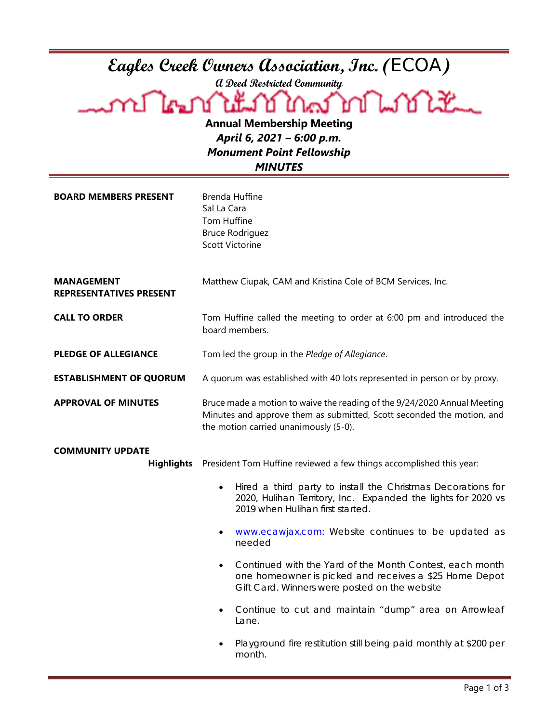| Eagles Creek Owners Association, Inc. (ECOA)<br>a Deed Restricted Community<br>A LE DI LENGTON RAS DON WILL<br><b>Annual Membership Meeting</b><br>April 6, 2021 - 6:00 p.m.<br><b>Monument Point Fellowship</b> |                                                                                                                                                                                            |  |
|------------------------------------------------------------------------------------------------------------------------------------------------------------------------------------------------------------------|--------------------------------------------------------------------------------------------------------------------------------------------------------------------------------------------|--|
| <b>MINUTES</b>                                                                                                                                                                                                   |                                                                                                                                                                                            |  |
| <b>BOARD MEMBERS PRESENT</b>                                                                                                                                                                                     | <b>Brenda Huffine</b><br>Sal La Cara<br>Tom Huffine<br><b>Bruce Rodriguez</b><br><b>Scott Victorine</b>                                                                                    |  |
| <b>MANAGEMENT</b><br><b>REPRESENTATIVES PRESENT</b>                                                                                                                                                              | Matthew Ciupak, CAM and Kristina Cole of BCM Services, Inc.                                                                                                                                |  |
| <b>CALL TO ORDER</b>                                                                                                                                                                                             | Tom Huffine called the meeting to order at 6:00 pm and introduced the<br>board members.                                                                                                    |  |
| <b>PLEDGE OF ALLEGIANCE</b>                                                                                                                                                                                      | Tom led the group in the Pledge of Allegiance.                                                                                                                                             |  |
| <b>ESTABLISHMENT OF QUORUM</b>                                                                                                                                                                                   | A quorum was established with 40 lots represented in person or by proxy.                                                                                                                   |  |
| <b>APPROVAL OF MINUTES</b>                                                                                                                                                                                       | Bruce made a motion to waive the reading of the 9/24/2020 Annual Meeting<br>Minutes and approve them as submitted, Scott seconded the motion, and<br>the motion carried unanimously (5-0). |  |
| <b>COMMUNITY UPDATE</b>                                                                                                                                                                                          |                                                                                                                                                                                            |  |
| <b>Highlights</b>                                                                                                                                                                                                | President Tom Huffine reviewed a few things accomplished this year:                                                                                                                        |  |
|                                                                                                                                                                                                                  | Hired a third party to install the Christmas Decorations for<br>$\bullet$<br>2020, Hulihan Territory, Inc. Expanded the lights for 2020 vs<br>2019 when Hulihan first started.             |  |
|                                                                                                                                                                                                                  | www.ecawjax.com: Website continues to be updated as<br>needed                                                                                                                              |  |
|                                                                                                                                                                                                                  | Continued with the Yard of the Month Contest, each month<br>٠<br>one homeowner is picked and receives a \$25 Home Depot<br>Gift Card. Winners were posted on the website                   |  |
|                                                                                                                                                                                                                  | Continue to cut and maintain "dump" area on Arrowleaf<br>Lane.                                                                                                                             |  |
|                                                                                                                                                                                                                  | Playground fire restitution still being paid monthly at \$200 per<br>month.                                                                                                                |  |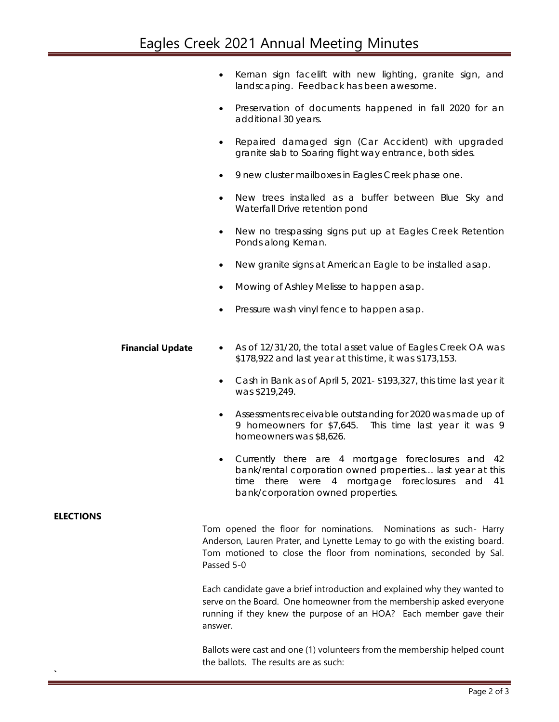- Kernan sign facelift with new lighting, granite sign, and landscaping. Feedback has been awesome.
- Preservation of documents happened in fall 2020 for an additional 30 years.
- Repaired damaged sign (Car Accident) with upgraded granite slab to Soaring flight way entrance, both sides.
- 9 new cluster mailboxes in Eagles Creek phase one.
- New trees installed as a buffer between Blue Sky and Waterfall Drive retention pond
- New no trespassing signs put up at Eagles Creek Retention Ponds along Kernan.
- New granite signs at American Eagle to be installed asap.
- Mowing of Ashley Melisse to happen asap.
- Pressure wash vinyl fence to happen asap.
- **Financial Update** As of 12/31/20, the total asset value of Eagles Creek OA was \$178,922 and last year at this time, it was \$173,153.
	- Cash in Bank as of April 5, 2021- \$193,327, this time last year it was \$219,249.
	- Assessments receivable outstanding for 2020 was made up of 9 homeowners for \$7,645. This time last year it was 9 homeowners was \$8,626.
	- Currently there are 4 mortgage foreclosures and 42 bank/rental corporation owned properties… last year at this time there were 4 mortgage foreclosures and 41 bank/corporation owned properties.

## **ELECTIONS**

**`**

Tom opened the floor for nominations. Nominations as such- Harry Anderson, Lauren Prater, and Lynette Lemay to go with the existing board. Tom motioned to close the floor from nominations, seconded by Sal. Passed 5-0

Each candidate gave a brief introduction and explained why they wanted to serve on the Board. One homeowner from the membership asked everyone running if they knew the purpose of an HOA? Each member gave their answer.

Ballots were cast and one (1) volunteers from the membership helped count the ballots. The results are as such: